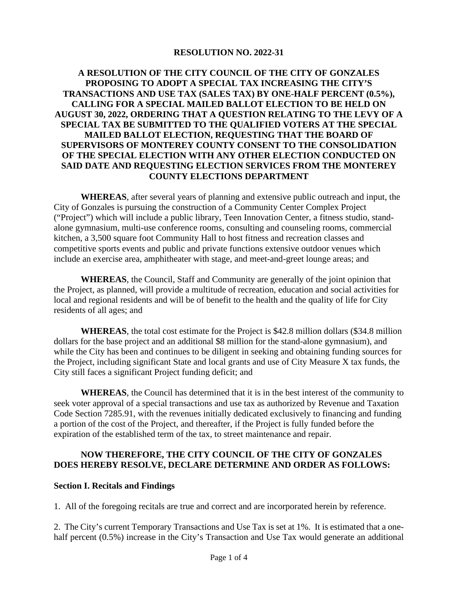#### **RESOLUTION NO. 2022-31**

# **A RESOLUTION OF THE CITY COUNCIL OF THE CITY OF GONZALES PROPOSING TO ADOPT A SPECIAL TAX INCREASING THE CITY'S TRANSACTIONS AND USE TAX (SALES TAX) BY ONE-HALF PERCENT (0.5%), CALLING FOR A SPECIAL MAILED BALLOT ELECTION TO BE HELD ON AUGUST 30, 2022, ORDERING THAT A QUESTION RELATING TO THE LEVY OF A SPECIAL TAX BE SUBMITTED TO THE QUALIFIED VOTERS AT THE SPECIAL MAILED BALLOT ELECTION, REQUESTING THAT THE BOARD OF SUPERVISORS OF MONTEREY COUNTY CONSENT TO THE CONSOLIDATION OF THE SPECIAL ELECTION WITH ANY OTHER ELECTION CONDUCTED ON SAID DATE AND REQUESTING ELECTION SERVICES FROM THE MONTEREY COUNTY ELECTIONS DEPARTMENT**

**WHEREAS**, after several years of planning and extensive public outreach and input, the City of Gonzales is pursuing the construction of a Community Center Complex Project ("Project") which will include a public library, Teen Innovation Center, a fitness studio, standalone gymnasium, multi-use conference rooms, consulting and counseling rooms, commercial kitchen, a 3,500 square foot Community Hall to host fitness and recreation classes and competitive sports events and public and private functions extensive outdoor venues which include an exercise area, amphitheater with stage, and meet-and-greet lounge areas; and

**WHEREAS**, the Council, Staff and Community are generally of the joint opinion that the Project, as planned, will provide a multitude of recreation, education and social activities for local and regional residents and will be of benefit to the health and the quality of life for City residents of all ages; and

**WHEREAS**, the total cost estimate for the Project is \$42.8 million dollars (\$34.8 million dollars for the base project and an additional \$8 million for the stand-alone gymnasium), and while the City has been and continues to be diligent in seeking and obtaining funding sources for the Project, including significant State and local grants and use of City Measure X tax funds, the City still faces a significant Project funding deficit; and

**WHEREAS**, the Council has determined that it is in the best interest of the community to seek voter approval of a special transactions and use tax as authorized by Revenue and Taxation Code Section 7285.91, with the revenues initially dedicated exclusively to financing and funding a portion of the cost of the Project, and thereafter, if the Project is fully funded before the expiration of the established term of the tax, to street maintenance and repair.

# **NOW THEREFORE, THE CITY COUNCIL OF THE CITY OF GONZALES DOES HEREBY RESOLVE, DECLARE DETERMINE AND ORDER AS FOLLOWS:**

#### **Section I. Recitals and Findings**

1. All of the foregoing recitals are true and correct and are incorporated herein by reference.

2. The City's current Temporary Transactions and Use Tax is set at 1%. It is estimated that a onehalf percent (0.5%) increase in the City's Transaction and Use Tax would generate an additional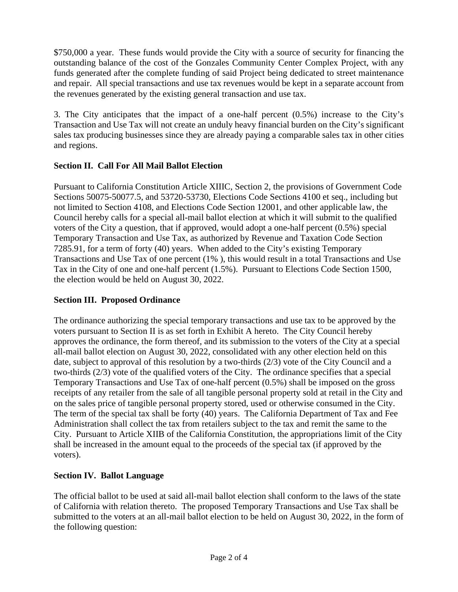\$750,000 a year. These funds would provide the City with a source of security for financing the outstanding balance of the cost of the Gonzales Community Center Complex Project, with any funds generated after the complete funding of said Project being dedicated to street maintenance and repair. All special transactions and use tax revenues would be kept in a separate account from the revenues generated by the existing general transaction and use tax.

3. The City anticipates that the impact of a one-half percent (0.5%) increase to the City's Transaction and Use Tax will not create an unduly heavy financial burden on the City's significant sales tax producing businesses since they are already paying a comparable sales tax in other cities and regions.

# **Section II. Call For All Mail Ballot Election**

Pursuant to California Constitution Article XIIIC, Section 2, the provisions of Government Code Sections 50075-50077.5, and 53720-53730, Elections Code Sections 4100 et seq., including but not limited to Section 4108, and Elections Code Section 12001, and other applicable law, the Council hereby calls for a special all-mail ballot election at which it will submit to the qualified voters of the City a question, that if approved, would adopt a one-half percent (0.5%) special Temporary Transaction and Use Tax, as authorized by Revenue and Taxation Code Section 7285.91, for a term of forty (40) years. When added to the City's existing Temporary Transactions and Use Tax of one percent (1% ), this would result in a total Transactions and Use Tax in the City of one and one-half percent (1.5%). Pursuant to Elections Code Section 1500, the election would be held on August 30, 2022.

# **Section III. Proposed Ordinance**

The ordinance authorizing the special temporary transactions and use tax to be approved by the voters pursuant to Section II is as set forth in Exhibit A hereto. The City Council hereby approves the ordinance, the form thereof, and its submission to the voters of the City at a special all-mail ballot election on August 30, 2022, consolidated with any other election held on this date, subject to approval of this resolution by a two-thirds (2/3) vote of the City Council and a two-thirds (2/3) vote of the qualified voters of the City. The ordinance specifies that a special Temporary Transactions and Use Tax of one-half percent (0.5%) shall be imposed on the gross receipts of any retailer from the sale of all tangible personal property sold at retail in the City and on the sales price of tangible personal property stored, used or otherwise consumed in the City. The term of the special tax shall be forty (40) years. The California Department of Tax and Fee Administration shall collect the tax from retailers subject to the tax and remit the same to the City. Pursuant to Article XIIB of the California Constitution, the appropriations limit of the City shall be increased in the amount equal to the proceeds of the special tax (if approved by the voters).

# **Section IV. Ballot Language**

The official ballot to be used at said all-mail ballot election shall conform to the laws of the state of California with relation thereto. The proposed Temporary Transactions and Use Tax shall be submitted to the voters at an all-mail ballot election to be held on August 30, 2022, in the form of the following question: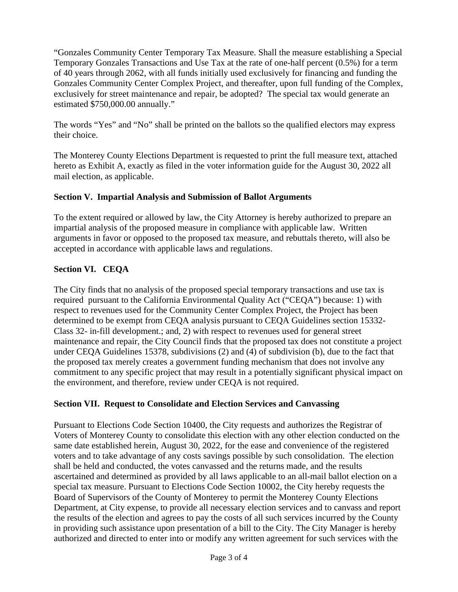"Gonzales Community Center Temporary Tax Measure. Shall the measure establishing a Special Temporary Gonzales Transactions and Use Tax at the rate of one-half percent (0.5%) for a term of 40 years through 2062, with all funds initially used exclusively for financing and funding the Gonzales Community Center Complex Project, and thereafter, upon full funding of the Complex, exclusively for street maintenance and repair, be adopted? The special tax would generate an estimated \$750,000.00 annually."

The words "Yes" and "No" shall be printed on the ballots so the qualified electors may express their choice.

The Monterey County Elections Department is requested to print the full measure text, attached hereto as Exhibit A, exactly as filed in the voter information guide for the August 30, 2022 all mail election, as applicable.

# **Section V. Impartial Analysis and Submission of Ballot Arguments**

To the extent required or allowed by law, the City Attorney is hereby authorized to prepare an impartial analysis of the proposed measure in compliance with applicable law. Written arguments in favor or opposed to the proposed tax measure, and rebuttals thereto, will also be accepted in accordance with applicable laws and regulations.

# **Section VI. CEQA**

The City finds that no analysis of the proposed special temporary transactions and use tax is required pursuant to the California Environmental Quality Act ("CEQA") because: 1) with respect to revenues used for the Community Center Complex Project, the Project has been determined to be exempt from CEQA analysis pursuant to CEQA Guidelines section 15332- Class 32- in-fill development.; and, 2) with respect to revenues used for general street maintenance and repair, the City Council finds that the proposed tax does not constitute a project under CEQA Guidelines 15378, subdivisions (2) and (4) of subdivision (b), due to the fact that the proposed tax merely creates a government funding mechanism that does not involve any commitment to any specific project that may result in a potentially significant physical impact on the environment, and therefore, review under CEQA is not required.

# **Section VII. Request to Consolidate and Election Services and Canvassing**

Pursuant to Elections Code Section 10400, the City requests and authorizes the Registrar of Voters of Monterey County to consolidate this election with any other election conducted on the same date established herein, August 30, 2022, for the ease and convenience of the registered voters and to take advantage of any costs savings possible by such consolidation. The election shall be held and conducted, the votes canvassed and the returns made, and the results ascertained and determined as provided by all laws applicable to an all-mail ballot election on a special tax measure. Pursuant to Elections Code Section 10002, the City hereby requests the Board of Supervisors of the County of Monterey to permit the Monterey County Elections Department, at City expense, to provide all necessary election services and to canvass and report the results of the election and agrees to pay the costs of all such services incurred by the County in providing such assistance upon presentation of a bill to the City. The City Manager is hereby authorized and directed to enter into or modify any written agreement for such services with the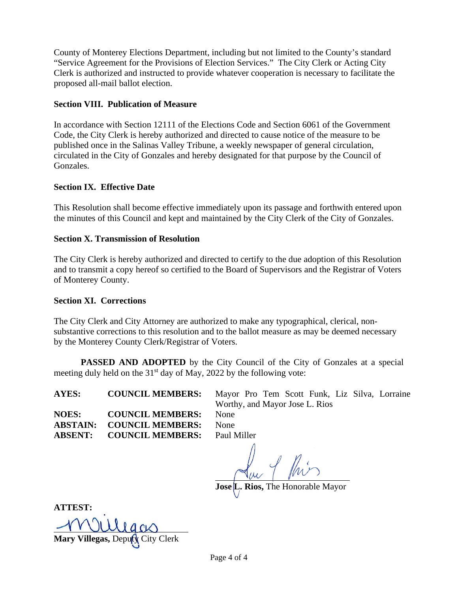County of Monterey Elections Department, including but not limited to the County's standard "Service Agreement for the Provisions of Election Services." The City Clerk or Acting City Clerk is authorized and instructed to provide whatever cooperation is necessary to facilitate the proposed all-mail ballot election.

### **Section VIII. Publication of Measure**

In accordance with Section 12111 of the Elections Code and Section 6061 of the Government Code, the City Clerk is hereby authorized and directed to cause notice of the measure to be published once in the Salinas Valley Tribune, a weekly newspaper of general circulation, circulated in the City of Gonzales and hereby designated for that purpose by the Council of Gonzales.

### **Section IX. Effective Date**

This Resolution shall become effective immediately upon its passage and forthwith entered upon the minutes of this Council and kept and maintained by the City Clerk of the City of Gonzales.

### **Section X. Transmission of Resolution**

The City Clerk is hereby authorized and directed to certify to the due adoption of this Resolution and to transmit a copy hereof so certified to the Board of Supervisors and the Registrar of Voters of Monterey County.

#### **Section XI. Corrections**

The City Clerk and City Attorney are authorized to make any typographical, clerical, nonsubstantive corrections to this resolution and to the ballot measure as may be deemed necessary by the Monterey County Clerk/Registrar of Voters.

**PASSED AND ADOPTED** by the City Council of the City of Gonzales at a special meeting duly held on the  $31<sup>st</sup>$  day of May, 2022 by the following vote:

**NOES: COUNCIL MEMBERS:** None **ABSTAIN: COUNCIL MEMBERS:** None **ABSENT: COUNCIL MEMBERS:** Paul Miller

**AYES: COUNCIL MEMBERS:** Mayor Pro Tem Scott Funk, Liz Silva, Lorraine Worthy, and Mayor Jose L. Rios

Rios, The Honorable Mayor

**ATTEST:**

**Mary Villegas,** Deputy City Clerk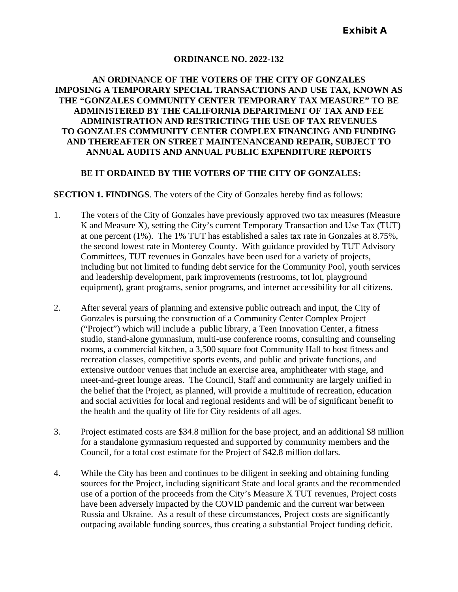### **ORDINANCE NO. 2022-132**

### **AN ORDINANCE OF THE VOTERS OF THE CITY OF GONZALES IMPOSING A TEMPORARY SPECIAL TRANSACTIONS AND USE TAX, KNOWN AS THE "GONZALES COMMUNITY CENTER TEMPORARY TAX MEASURE" TO BE ADMINISTERED BY THE CALIFORNIA DEPARTMENT OF TAX AND FEE ADMINISTRATION AND RESTRICTING THE USE OF TAX REVENUES TO GONZALES COMMUNITY CENTER COMPLEX FINANCING AND FUNDING AND THEREAFTER ON STREET MAINTENANCEAND REPAIR, SUBJECT TO ANNUAL AUDITS AND ANNUAL PUBLIC EXPENDITURE REPORTS**

### **BE IT ORDAINED BY THE VOTERS OF THE CITY OF GONZALES:**

#### **SECTION 1. FINDINGS**. The voters of the City of Gonzales hereby find as follows:

- 1. The voters of the City of Gonzales have previously approved two tax measures (Measure K and Measure X), setting the City's current Temporary Transaction and Use Tax (TUT) at one percent (1%). The 1% TUT has established a sales tax rate in Gonzales at 8.75%, the second lowest rate in Monterey County. With guidance provided by TUT Advisory Committees, TUT revenues in Gonzales have been used for a variety of projects, including but not limited to funding debt service for the Community Pool, youth services and leadership development, park improvements (restrooms, tot lot, playground equipment), grant programs, senior programs, and internet accessibility for all citizens.
- 2. After several years of planning and extensive public outreach and input, the City of Gonzales is pursuing the construction of a Community Center Complex Project ("Project") which will include a public library, a Teen Innovation Center, a fitness studio, stand-alone gymnasium, multi-use conference rooms, consulting and counseling rooms, a commercial kitchen, a 3,500 square foot Community Hall to host fitness and recreation classes, competitive sports events, and public and private functions, and extensive outdoor venues that include an exercise area, amphitheater with stage, and meet-and-greet lounge areas. The Council, Staff and community are largely unified in the belief that the Project, as planned, will provide a multitude of recreation, education and social activities for local and regional residents and will be of significant benefit to the health and the quality of life for City residents of all ages.
- 3. Project estimated costs are \$34.8 million for the base project, and an additional \$8 million for a standalone gymnasium requested and supported by community members and the Council, for a total cost estimate for the Project of \$42.8 million dollars.
- 4. While the City has been and continues to be diligent in seeking and obtaining funding sources for the Project, including significant State and local grants and the recommended use of a portion of the proceeds from the City's Measure X TUT revenues, Project costs have been adversely impacted by the COVID pandemic and the current war between Russia and Ukraine. As a result of these circumstances, Project costs are significantly outpacing available funding sources, thus creating a substantial Project funding deficit.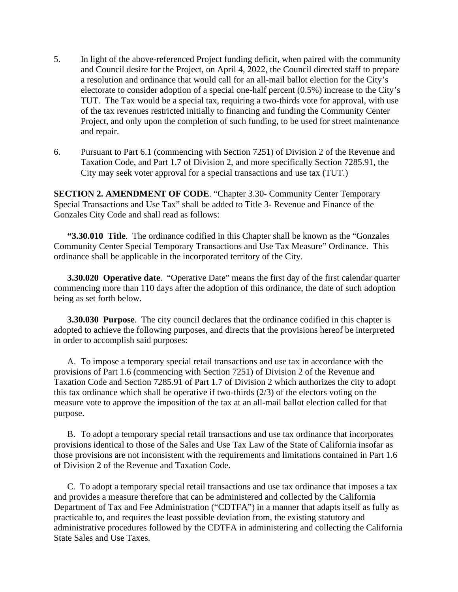- 5. In light of the above-referenced Project funding deficit, when paired with the community and Council desire for the Project, on April 4, 2022, the Council directed staff to prepare a resolution and ordinance that would call for an all-mail ballot election for the City's electorate to consider adoption of a special one-half percent (0.5%) increase to the City's TUT. The Tax would be a special tax, requiring a two-thirds vote for approval, with use of the tax revenues restricted initially to financing and funding the Community Center Project, and only upon the completion of such funding, to be used for street maintenance and repair.
- 6. Pursuant to Part 6.1 (commencing with Section 7251) of Division 2 of the Revenue and Taxation Code, and Part 1.7 of Division 2, and more specifically Section 7285.91, the City may seek voter approval for a special transactions and use tax (TUT.)

**SECTION 2. AMENDMENT OF CODE**. "Chapter 3.30- Community Center Temporary Special Transactions and Use Tax" shall be added to Title 3- Revenue and Finance of the Gonzales City Code and shall read as follows:

**"3.30.010 Title**. The ordinance codified in this Chapter shall be known as the "Gonzales Community Center Special Temporary Transactions and Use Tax Measure" Ordinance. This ordinance shall be applicable in the incorporated territory of the City.

**3.30.020 Operative date**. "Operative Date" means the first day of the first calendar quarter commencing more than 110 days after the adoption of this ordinance, the date of such adoption being as set forth below.

**3.30.030 Purpose**. The city council declares that the ordinance codified in this chapter is adopted to achieve the following purposes, and directs that the provisions hereof be interpreted in order to accomplish said purposes:

A. To impose a temporary special retail transactions and use tax in accordance with the provisions of Part 1.6 (commencing with Section 7251) of Division 2 of the Revenue and Taxation Code and Section 7285.91 of Part 1.7 of Division 2 which authorizes the city to adopt this tax ordinance which shall be operative if two-thirds (2/3) of the electors voting on the measure vote to approve the imposition of the tax at an all-mail ballot election called for that purpose.

B. To adopt a temporary special retail transactions and use tax ordinance that incorporates provisions identical to those of the Sales and Use Tax Law of the State of California insofar as those provisions are not inconsistent with the requirements and limitations contained in Part 1.6 of Division 2 of the Revenue and Taxation Code.

C. To adopt a temporary special retail transactions and use tax ordinance that imposes a tax and provides a measure therefore that can be administered and collected by the California Department of Tax and Fee Administration ("CDTFA") in a manner that adapts itself as fully as practicable to, and requires the least possible deviation from, the existing statutory and administrative procedures followed by the CDTFA in administering and collecting the California State Sales and Use Taxes.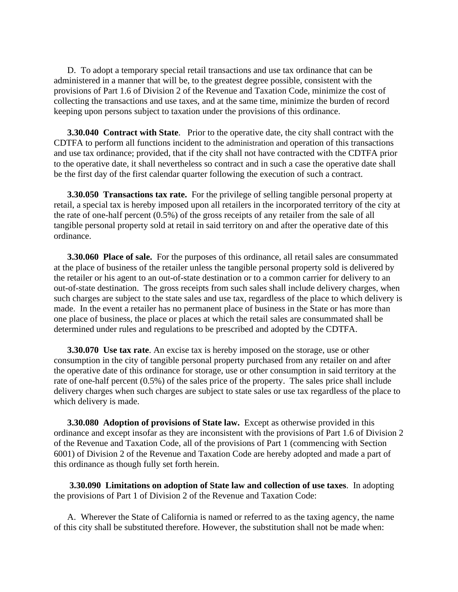D. To adopt a temporary special retail transactions and use tax ordinance that can be administered in a manner that will be, to the greatest degree possible, consistent with the provisions of Part 1.6 of Division 2 of the Revenue and Taxation Code, minimize the cost of collecting the transactions and use taxes, and at the same time, minimize the burden of record keeping upon persons subject to taxation under the provisions of this ordinance.

**3.30.040 Contract with State**. Prior to the operative date, the city shall contract with the CDTFA to perform all functions incident to the administration and operation of this transactions and use tax ordinance; provided, that if the city shall not have contracted with the CDTFA prior to the operative date, it shall nevertheless so contract and in such a case the operative date shall be the first day of the first calendar quarter following the execution of such a contract.

**3.30.050 Transactions tax rate.** For the privilege of selling tangible personal property at retail, a special tax is hereby imposed upon all retailers in the incorporated territory of the city at the rate of one-half percent (0.5%) of the gross receipts of any retailer from the sale of all tangible personal property sold at retail in said territory on and after the operative date of this ordinance.

**3.30.060 Place of sale.** For the purposes of this ordinance, all retail sales are consummated at the place of business of the retailer unless the tangible personal property sold is delivered by the retailer or his agent to an out-of-state destination or to a common carrier for delivery to an out-of-state destination. The gross receipts from such sales shall include delivery charges, when such charges are subject to the state sales and use tax, regardless of the place to which delivery is made. In the event a retailer has no permanent place of business in the State or has more than one place of business, the place or places at which the retail sales are consummated shall be determined under rules and regulations to be prescribed and adopted by the CDTFA.

**3.30.070 Use tax rate**. An excise tax is hereby imposed on the storage, use or other consumption in the city of tangible personal property purchased from any retailer on and after the operative date of this ordinance for storage, use or other consumption in said territory at the rate of one-half percent (0.5%) of the sales price of the property. The sales price shall include delivery charges when such charges are subject to state sales or use tax regardless of the place to which delivery is made.

**3.30.080 Adoption of provisions of State law.** Except as otherwise provided in this ordinance and except insofar as they are inconsistent with the provisions of Part 1.6 of Division 2 of the Revenue and Taxation Code, all of the provisions of Part 1 (commencing with Section 6001) of Division 2 of the Revenue and Taxation Code are hereby adopted and made a part of this ordinance as though fully set forth herein.

**3.30.090 Limitations on adoption of State law and collection of use taxes**. In adopting the provisions of Part 1 of Division 2 of the Revenue and Taxation Code:

A. Wherever the State of California is named or referred to as the taxing agency, the name of this city shall be substituted therefore. However, the substitution shall not be made when: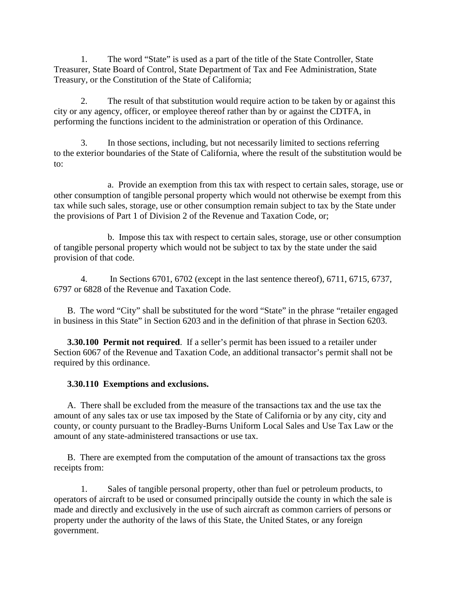1. The word "State" is used as a part of the title of the State Controller, State Treasurer, State Board of Control, State Department of Tax and Fee Administration, State Treasury, or the Constitution of the State of California;

2. The result of that substitution would require action to be taken by or against this city or any agency, officer, or employee thereof rather than by or against the CDTFA, in performing the functions incident to the administration or operation of this Ordinance.

3. In those sections, including, but not necessarily limited to sections referring to the exterior boundaries of the State of California, where the result of the substitution would be to:

a. Provide an exemption from this tax with respect to certain sales, storage, use or other consumption of tangible personal property which would not otherwise be exempt from this tax while such sales, storage, use or other consumption remain subject to tax by the State under the provisions of Part 1 of Division 2 of the Revenue and Taxation Code, or;

b. Impose this tax with respect to certain sales, storage, use or other consumption of tangible personal property which would not be subject to tax by the state under the said provision of that code.

4. In Sections 6701, 6702 (except in the last sentence thereof), 6711, 6715, 6737, 6797 or 6828 of the Revenue and Taxation Code.

B. The word "City" shall be substituted for the word "State" in the phrase "retailer engaged in business in this State" in Section 6203 and in the definition of that phrase in Section 6203.

**3.30.100 Permit not required**. If a seller's permit has been issued to a retailer under Section 6067 of the Revenue and Taxation Code, an additional transactor's permit shall not be required by this ordinance.

# **3.30.110 Exemptions and exclusions.**

A. There shall be excluded from the measure of the transactions tax and the use tax the amount of any sales tax or use tax imposed by the State of California or by any city, city and county, or county pursuant to the Bradley-Burns Uniform Local Sales and Use Tax Law or the amount of any state-administered transactions or use tax.

B. There are exempted from the computation of the amount of transactions tax the gross receipts from:

1. Sales of tangible personal property, other than fuel or petroleum products, to operators of aircraft to be used or consumed principally outside the county in which the sale is made and directly and exclusively in the use of such aircraft as common carriers of persons or property under the authority of the laws of this State, the United States, or any foreign government.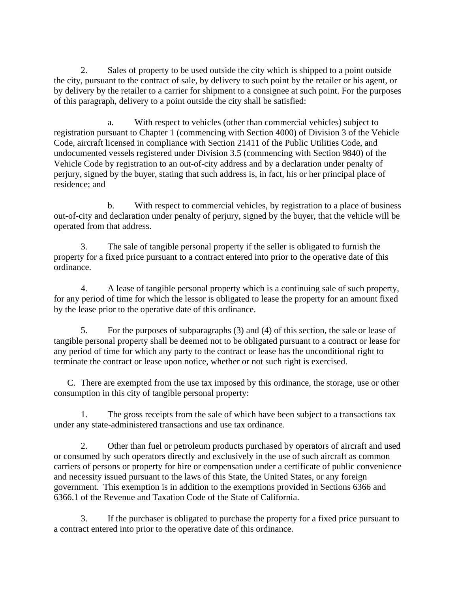2. Sales of property to be used outside the city which is shipped to a point outside the city, pursuant to the contract of sale, by delivery to such point by the retailer or his agent, or by delivery by the retailer to a carrier for shipment to a consignee at such point. For the purposes of this paragraph, delivery to a point outside the city shall be satisfied:

a. With respect to vehicles (other than commercial vehicles) subject to registration pursuant to Chapter 1 (commencing with Section 4000) of Division 3 of the Vehicle Code, aircraft licensed in compliance with Section 21411 of the Public Utilities Code, and undocumented vessels registered under Division 3.5 (commencing with Section 9840) of the Vehicle Code by registration to an out-of-city address and by a declaration under penalty of perjury, signed by the buyer, stating that such address is, in fact, his or her principal place of residence; and

b. With respect to commercial vehicles, by registration to a place of business out-of-city and declaration under penalty of perjury, signed by the buyer, that the vehicle will be operated from that address.

3. The sale of tangible personal property if the seller is obligated to furnish the property for a fixed price pursuant to a contract entered into prior to the operative date of this ordinance.

4. A lease of tangible personal property which is a continuing sale of such property, for any period of time for which the lessor is obligated to lease the property for an amount fixed by the lease prior to the operative date of this ordinance.

5. For the purposes of subparagraphs (3) and (4) of this section, the sale or lease of tangible personal property shall be deemed not to be obligated pursuant to a contract or lease for any period of time for which any party to the contract or lease has the unconditional right to terminate the contract or lease upon notice, whether or not such right is exercised.

C. There are exempted from the use tax imposed by this ordinance, the storage, use or other consumption in this city of tangible personal property:

1. The gross receipts from the sale of which have been subject to a transactions tax under any state-administered transactions and use tax ordinance.

2. Other than fuel or petroleum products purchased by operators of aircraft and used or consumed by such operators directly and exclusively in the use of such aircraft as common carriers of persons or property for hire or compensation under a certificate of public convenience and necessity issued pursuant to the laws of this State, the United States, or any foreign government. This exemption is in addition to the exemptions provided in Sections 6366 and 6366.1 of the Revenue and Taxation Code of the State of California.

3. If the purchaser is obligated to purchase the property for a fixed price pursuant to a contract entered into prior to the operative date of this ordinance.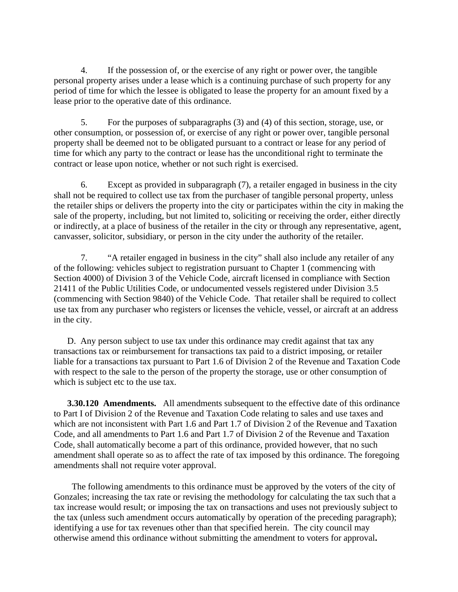4. If the possession of, or the exercise of any right or power over, the tangible personal property arises under a lease which is a continuing purchase of such property for any period of time for which the lessee is obligated to lease the property for an amount fixed by a lease prior to the operative date of this ordinance.

5. For the purposes of subparagraphs (3) and (4) of this section, storage, use, or other consumption, or possession of, or exercise of any right or power over, tangible personal property shall be deemed not to be obligated pursuant to a contract or lease for any period of time for which any party to the contract or lease has the unconditional right to terminate the contract or lease upon notice, whether or not such right is exercised.

6. Except as provided in subparagraph (7), a retailer engaged in business in the city shall not be required to collect use tax from the purchaser of tangible personal property, unless the retailer ships or delivers the property into the city or participates within the city in making the sale of the property, including, but not limited to, soliciting or receiving the order, either directly or indirectly, at a place of business of the retailer in the city or through any representative, agent, canvasser, solicitor, subsidiary, or person in the city under the authority of the retailer.

7. "A retailer engaged in business in the city" shall also include any retailer of any of the following: vehicles subject to registration pursuant to Chapter 1 (commencing with Section 4000) of Division 3 of the Vehicle Code, aircraft licensed in compliance with Section 21411 of the Public Utilities Code, or undocumented vessels registered under Division 3.5 (commencing with Section 9840) of the Vehicle Code. That retailer shall be required to collect use tax from any purchaser who registers or licenses the vehicle, vessel, or aircraft at an address in the city.

D. Any person subject to use tax under this ordinance may credit against that tax any transactions tax or reimbursement for transactions tax paid to a district imposing, or retailer liable for a transactions tax pursuant to Part 1.6 of Division 2 of the Revenue and Taxation Code with respect to the sale to the person of the property the storage, use or other consumption of which is subject etc to the use tax.

**3.30.120 Amendments.** All amendments subsequent to the effective date of this ordinance to Part I of Division 2 of the Revenue and Taxation Code relating to sales and use taxes and which are not inconsistent with Part 1.6 and Part 1.7 of Division 2 of the Revenue and Taxation Code, and all amendments to Part 1.6 and Part 1.7 of Division 2 of the Revenue and Taxation Code, shall automatically become a part of this ordinance, provided however, that no such amendment shall operate so as to affect the rate of tax imposed by this ordinance. The foregoing amendments shall not require voter approval.

 The following amendments to this ordinance must be approved by the voters of the city of Gonzales; increasing the tax rate or revising the methodology for calculating the tax such that a tax increase would result; or imposing the tax on transactions and uses not previously subject to the tax (unless such amendment occurs automatically by operation of the preceding paragraph); identifying a use for tax revenues other than that specified herein. The city council may otherwise amend this ordinance without submitting the amendment to voters for approval**.**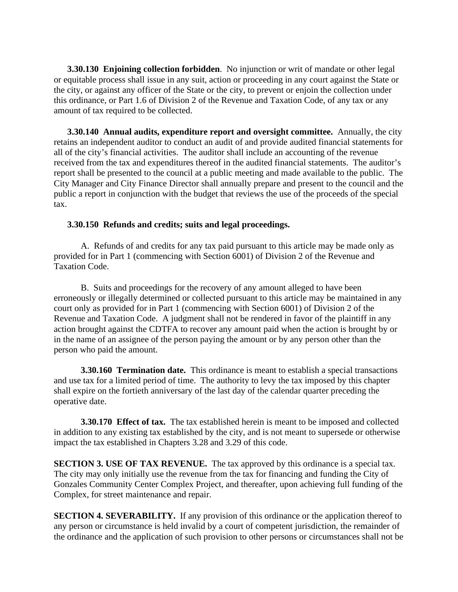**3.30.130 Enjoining collection forbidden**. No injunction or writ of mandate or other legal or equitable process shall issue in any suit, action or proceeding in any court against the State or the city, or against any officer of the State or the city, to prevent or enjoin the collection under this ordinance, or Part 1.6 of Division 2 of the Revenue and Taxation Code, of any tax or any amount of tax required to be collected.

**3.30.140 Annual audits, expenditure report and oversight committee.** Annually, the city retains an independent auditor to conduct an audit of and provide audited financial statements for all of the city's financial activities. The auditor shall include an accounting of the revenue received from the tax and expenditures thereof in the audited financial statements. The auditor's report shall be presented to the council at a public meeting and made available to the public. The City Manager and City Finance Director shall annually prepare and present to the council and the public a report in conjunction with the budget that reviews the use of the proceeds of the special tax.

#### **3.30.150 Refunds and credits; suits and legal proceedings.**

A. Refunds of and credits for any tax paid pursuant to this article may be made only as provided for in Part 1 (commencing with Section 6001) of Division 2 of the Revenue and Taxation Code.

B. Suits and proceedings for the recovery of any amount alleged to have been erroneously or illegally determined or collected pursuant to this article may be maintained in any court only as provided for in Part 1 (commencing with Section 6001) of Division 2 of the Revenue and Taxation Code. A judgment shall not be rendered in favor of the plaintiff in any action brought against the CDTFA to recover any amount paid when the action is brought by or in the name of an assignee of the person paying the amount or by any person other than the person who paid the amount.

**3.30.160 Termination date.** This ordinance is meant to establish a special transactions and use tax for a limited period of time. The authority to levy the tax imposed by this chapter shall expire on the fortieth anniversary of the last day of the calendar quarter preceding the operative date.

**3.30.170 Effect of tax.** The tax established herein is meant to be imposed and collected in addition to any existing tax established by the city, and is not meant to supersede or otherwise impact the tax established in Chapters 3.28 and 3.29 of this code.

**SECTION 3. USE OF TAX REVENUE.** The tax approved by this ordinance is a special tax. The city may only initially use the revenue from the tax for financing and funding the City of Gonzales Community Center Complex Project, and thereafter, upon achieving full funding of the Complex, for street maintenance and repair.

**SECTION 4. SEVERABILITY.** If any provision of this ordinance or the application thereof to any person or circumstance is held invalid by a court of competent jurisdiction, the remainder of the ordinance and the application of such provision to other persons or circumstances shall not be